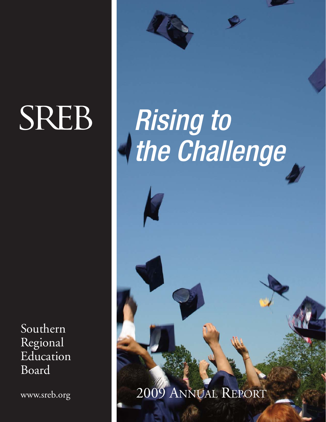# **SREB**

Southern Regional Education Board

www.sreb.org

# Rising to the Challenge

### 2009 ANNUAL REPORT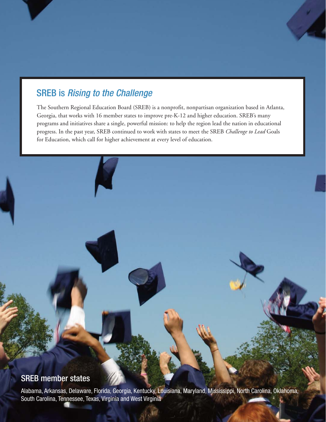### SREB is Rising to the Challenge

The Southern Regional Education Board (SREB) is a nonprofit, nonpartisan organization based in Atlanta, Georgia, that works with 16 member states to improve pre-K-12 and higher education. SREB's many programs and initiatives share a single, powerful mission: to help the region lead the nation in educational progress. In the past year, SREB continued to work with states to meet the SREB *Challenge to Lead* Goals for Education, which call for higher achievement at every level of education.

### SREB member states

Alabama, Arkansas, Delaware, Florida, Georgia, Kentucky, Louisiana, Maryland, Mississippi, North Carolina, Oklahoma, South Carolina, Tennessee, Texas, Virginia and West Virginia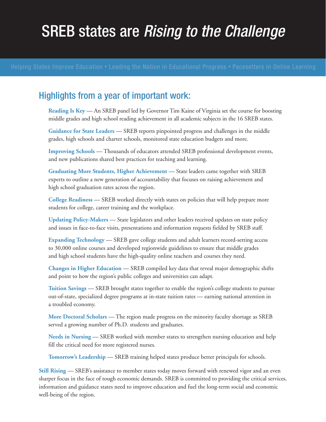### **SREB states are Rising to the Challenge**

### Highlights from a year of important work:

**Reading Is Key** — An SREB panel led by Governor Tim Kaine of Virginia set the course for boosting middle grades and high school reading achievement in all academic subjects in the 16 SREB states.

**Guidance for State Leaders** — SREB reports pinpointed progress and challenges in the middle grades, high schools and charter schools, monitored state education budgets and more.

**Improving Schools** — Thousands of educators attended SREB professional development events, and new publications shared best practices for teaching and learning.

**Graduating More Students, Higher Achievement** — State leaders came together with SREB experts to outline a new generation of accountability that focuses on raising achievement and high school graduation rates across the region.

**College Readiness** — SREB worked directly with states on policies that will help prepare more students for college, career training and the workplace.

**Updating Policy-Makers** — State legislators and other leaders received updates on state policy and issues in face-to-face visits, presentations and information requests fielded by SREB staff.

**Expanding Technology** — SREB gave college students and adult learners record-setting access to 30,000 online courses and developed regionwide guidelines to ensure that middle grades and high school students have the high-quality online teachers and courses they need.

**Changes in Higher Education** — SREB compiled key data that reveal major demographic shifts and point to how the region's public colleges and universities can adapt.

**Tuition Savings** — SREB brought states together to enable the region's college students to pursue out-of-state, specialized degree programs at in-state tuition rates — earning national attention in a troubled economy.

**More Doctoral Scholars** — The region made progress on the minority faculty shortage as SREB served a growing number of Ph.D. students and graduates.

**Needs in Nursing** — SREB worked with member states to strengthen nursing education and help fill the critical need for more registered nurses.

**Tomorrow's Leadership** — SREB training helped states produce better principals for schools.

**Still Rising — SREB's** assistance to member states today moves forward with renewed vigor and an even sharper focus in the face of tough economic demands. SREB is committed to providing the critical services, information and guidance states need to improve education and fuel the long-term social and economic well-being of the region.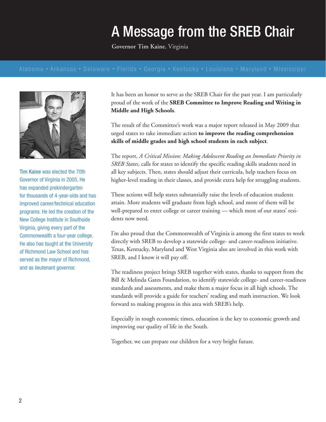# A Message from the SREB Chair

**Governor Tim Kaine**, Virginia



Tim Kaine was elected the 70th Governor of Virginia in 2005. He has expanded prekindergarten for thousands of 4-year-olds and has improved career/technical education programs. He led the creation of the New College Institute in Southside Virginia, giving every part of the Commonwealth a four-year college. He also has taught at the University of Richmond Law School and has served as the mayor of Richmond, and as lieutenant governor.

It has been an honor to serve as the SREB Chair for the past year. I am particularly proud of the work of the **SREB Committee to Improve Reading and Writing in Middle and High Schools**.

The result of the Committee's work was a major report released in May 2009 that urged states to take immediate action **to improve the reading comprehension skills of middle grades and high school students in each subject**.

The report, *A Critical Mission: Making Adolescent Reading an Immediate Priority in SREB States*, calls for states to identify the specific reading skills students need in all key subjects. Then, states should adjust their curricula, help teachers focus on higher-level reading in their classes, and provide extra help for struggling students.

These actions will help states substantially raise the levels of education students attain. More students will graduate from high school, and more of them will be well-prepared to enter college or career training — which most of our states' residents now need.

I'm also proud that the Commonwealth of Virginia is among the first states to work directly with SREB to develop a statewide college- and career-readiness initiative. Texas, Kentucky, Maryland and West Virginia also are involved in this work with SREB, and I know it will pay off.

The readiness project brings SREB together with states, thanks to support from the Bill & Melinda Gates Foundation, to identify statewide college- and career-readiness standards and assessments, and make them a major focus in all high schools. The standards will provide a guide for teachers' reading and math instruction. We look forward to making progress in this area with SREB's help.

Especially in tough economic times, education is the key to economic growth and improving our quality of life in the South.

Together, we can prepare our children for a very bright future.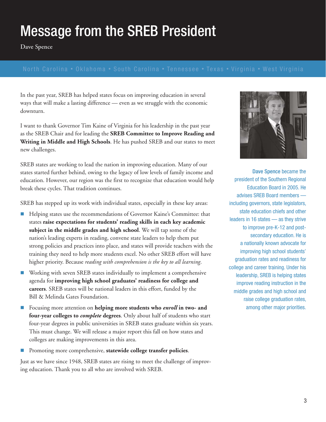## Message from the SREB President

**Dave Spence**

In the past year, SREB has helped states focus on improving education in several ways that will make a lasting difference — even as we struggle with the economic downturn.

I want to thank Governor Tim Kaine of Virginia for his leadership in the past year as the SREB Chair and for leading the **SREB Committee to Improve Reading and Writing in Middle and High Schools**. He has pushed SREB and our states to meet new challenges.

SREB states are working to lead the nation in improving education. Many of our states started further behind, owing to the legacy of low levels of family income and education. However, our region was the first to recognize that education would help break these cycles. That tradition continues.

SREB has stepped up its work with individual states, especially in these key areas:

- - Helping states use the recommendations of Governor Kaine's Committee: that states **raise expectations for students' reading skills in each key academic subject in the middle grades and high school**. We will tap some of the nation's leading experts in reading, convene state leaders to help them put strong policies and practices into place, and states will provide teachers with the training they need to help more students excel. No other SREB effort will have higher priority. Because *reading with comprehension is the key to all learning*.
- **E** Working with seven SREB states individually to implement a comprehensive agenda for **improving high school graduates' readiness for college and careers**. SREB states will be national leaders in this effort, funded by the Bill & Melinda Gates Foundation.
- - Focusing more attention on **helping more students who** *enroll* **in two- and four-year colleges to** *complete* **degrees**. Only about half of students who start four-year degrees in public universities in SREB states graduate within six years. This must change. We will release a major report this fall on how states and colleges are making improvements in this area.
- -Promoting more comprehensive, **statewide college transfer policies**.

Just as we have since 1948, SREB states are rising to meet the challenge of improving education. Thank you to all who are involved with SREB.



Dave Spence became the president of the Southern Regional Education Board in 2005. He advises SREB Board members including governors, state legislators, state education chiefs and other leaders in 16 states — as they strive to improve pre-K-12 and postsecondary education. He is a nationally known advocate for improving high school students' graduation rates and readiness for college and career training. Under his leadership, SREB is helping states improve reading instruction in the middle grades and high school and raise college graduation rates, among other major priorities.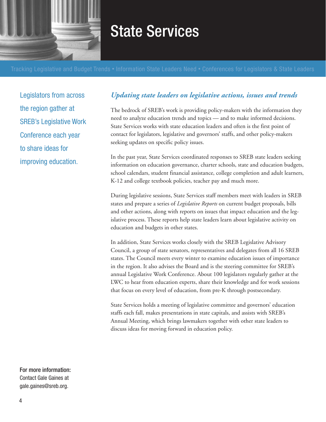

### State Services

Legislators from across the region gather at SREB's Legislative Work Conference each year to share ideas for improving education.

### *Updating state leaders on legislative actions, issues and trends*

The bedrock of SREB's work is providing policy-makers with the information they need to analyze education trends and topics — and to make informed decisions. State Services works with state education leaders and often is the first point of contact for legislators, legislative and governors' staffs, and other policy-makers seeking updates on specific policy issues.

In the past year, State Services coordinated responses to SREB state leaders seeking information on education governance, charter schools, state and education budgets, school calendars, student financial assistance, college completion and adult learners, K-12 and college textbook policies, teacher pay and much more.

During legislative sessions, State Services staff members meet with leaders in SREB states and prepare a series of *Legislative Reports* on current budget proposals, bills and other actions, along with reports on issues that impact education and the legislative process. These reports help state leaders learn about legislative activity on education and budgets in other states.

In addition, State Services works closely with the SREB Legislative Advisory Council, a group of state senators, representatives and delegates from all 16 SREB states. The Council meets every winter to examine education issues of importance in the region. It also advises the Board and is the steering committee for SREB's annual Legislative Work Conference. About 100 legislators regularly gather at the LWC to hear from education experts, share their knowledge and for work sessions that focus on every level of education, from pre-K through postsecondary.

State Services holds a meeting of legislative committee and governors' education staffs each fall, makes presentations in state capitals, and assists with SREB's Annual Meeting, which brings lawmakers together with other state leaders to discuss ideas for moving forward in education policy.

For more information: Contact Gale Gaines at gale.gaines@sreb.org.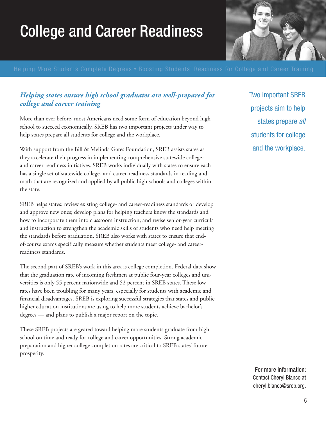# College and Career Readiness



### *Helping states ensure high school graduates are well-prepared for college and career training*

More than ever before, most Americans need some form of education beyond high school to succeed economically. SREB has two important projects under way to help states prepare all students for college and the workplace.

With support from the Bill & Melinda Gates Foundation, SREB assists states as they accelerate their progress in implementing comprehensive statewide collegeand career-readiness initiatives. SREB works individually with states to ensure each has a single set of statewide college- and career-readiness standards in reading and math that are recognized and applied by all public high schools and colleges within the state.

SREB helps states: review existing college- and career-readiness standards or develop and approve new ones; develop plans for helping teachers know the standards and how to incorporate them into classroom instruction; and revise senior-year curricula and instruction to strengthen the academic skills of students who need help meeting the standards before graduation. SREB also works with states to ensure that endof-course exams specifically measure whether students meet college- and careerreadiness standards.

The second part of SREB's work in this area is college completion. Federal data show that the graduation rate of incoming freshmen at public four-year colleges and universities is only 55 percent nationwide and 52 percent in SREB states. These low rates have been troubling for many years, especially for students with academic and financial disadvantages. SREB is exploring successful strategies that states and public higher education institutions are using to help more students achieve bachelor's degrees — and plans to publish a major report on the topic.

These SREB projects are geared toward helping more students graduate from high school on time and ready for college and career opportunities. Strong academic preparation and higher college completion rates are critical to SREB states' future prosperity.

Two important SREB projects aim to help states prepare all students for college and the workplace.

For more information: Contact Cheryl Blanco at cheryl.blanco@sreb.org.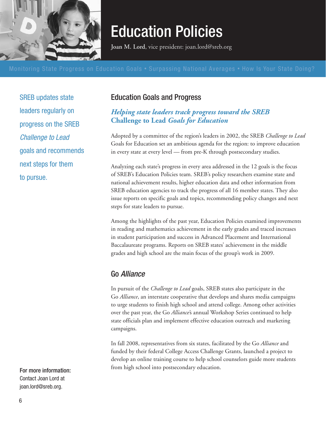

### Education Policies

**Joan M. Lord**, vice president: joan.lord@sreb.org

SREB updates state leaders regularly on progress on the SREB Challenge to Lead goals and recommends next steps for them to pursue.

### Education Goals and Progress

### *Helping state leaders track progress toward the SREB*  **Challenge to Lead** *Goals for Education*

Adopted by a committee of the region's leaders in 2002, the SREB *Challenge to Lead* Goals for Education set an ambitious agenda for the region: to improve education in every state at every level — from pre-K through postsecondary studies.

Analyzing each state's progress in every area addressed in the 12 goals is the focus of SREB's Education Policies team. SREB's policy researchers examine state and national achievement results, higher education data and other information from SREB education agencies to track the progress of all 16 member states. They also issue reports on specific goals and topics, recommending policy changes and next steps for state leaders to pursue.

Among the highlights of the past year, Education Policies examined improvements in reading and mathematics achievement in the early grades and traced increases in student participation and success in Advanced Placement and International Baccalaureate programs. Reports on SREB states' achievement in the middle grades and high school are the main focus of the group's work in 2009.

### Go Alliance

In pursuit of the *Challenge to Lead* goals, SREB states also participate in the Go *Alliance*, an interstate cooperative that develops and shares media campaigns to urge students to finish high school and attend college. Among other activities over the past year, the Go *Alliance'*s annual Workshop Series continued to help state officials plan and implement effective education outreach and marketing campaigns.

In fall 2008, representatives from six states, facilitated by the Go *Alliance* and funded by their federal College Access Challenge Grants, launched a project to develop an online training course to help school counselors guide more students from high school into postsecondary education.

For more information: Contact Joan Lord at joan.lord@sreb.org.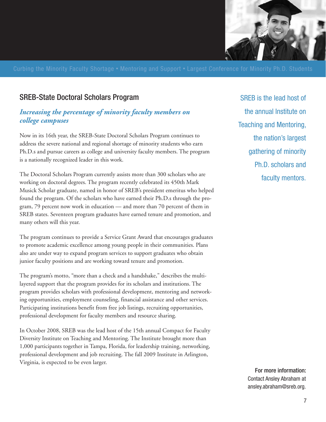

### SREB-State Doctoral Scholars Program

### *Increasing the percentage of minority faculty members on college campuses*

Now in its 16th year, the SREB-State Doctoral Scholars Program continues to address the severe national and regional shortage of minority students who earn Ph.D.s and pursue careers as college and university faculty members. The program is a nationally recognized leader in this work.

The Doctoral Scholars Program currently assists more than 300 scholars who are working on doctoral degrees. The program recently celebrated its 450th Mark Musick Scholar graduate, named in honor of SREB's president emeritus who helped found the program. Of the scholars who have earned their Ph.D.s through the program, 79 percent now work in education — and more than 70 percent of them in SREB states. Seventeen program graduates have earned tenure and promotion, and many others will this year.

The program continues to provide a Service Grant Award that encourages graduates to promote academic excellence among young people in their communities. Plans also are under way to expand program services to support graduates who obtain junior faculty positions and are working toward tenure and promotion.

The program's motto, "more than a check and a handshake," describes the multilayered support that the program provides for its scholars and institutions. The program provides scholars with professional development, mentoring and networking opportunities, employment counseling, financial assistance and other services. Participating institutions benefit from free job listings, recruiting opportunities, professional development for faculty members and resource sharing.

In October 2008, SREB was the lead host of the 15th annual Compact for Faculty Diversity Institute on Teaching and Mentoring. The Institute brought more than 1,000 participants together in Tampa, Florida, for leadership training, networking, professional development and job recruiting. The fall 2009 Institute in Arlington, Virginia, is expected to be even larger.

SREB is the lead host of the annual Institute on Teaching and Mentoring, the nation's largest gathering of minority Ph.D. scholars and faculty mentors.

> For more information: Contact Ansley Abraham at ansley.abraham@sreb.org.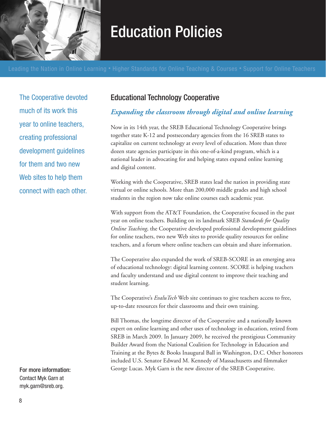

## Education Policies

The Cooperative devoted much of its work this year to online teachers, creating professional development guidelines for them and two new Web sites to help them connect with each other.

For more information: Contact Myk Garn at myk.garn@sreb.org.

### Educational Technology Cooperative

### *Expanding the classroom through digital and online learning*

Now in its 14th year, the SREB Educational Technology Cooperative brings together state K-12 and postsecondary agencies from the 16 SREB states to capitalize on current technology at every level of education. More than three dozen state agencies participate in this one-of-a-kind program, which is a national leader in advocating for and helping states expand online learning and digital content.

Working with the Cooperative, SREB states lead the nation in providing state virtual or online schools. More than 200,000 middle grades and high school students in the region now take online courses each academic year.

With support from the AT&T Foundation, the Cooperative focused in the past year on online teachers. Building on its landmark SREB *Standards for Quality Online Teaching*, the Cooperative developed professional development guidelines for online teachers, two new Web sites to provide quality resources for online teachers, and a forum where online teachers can obtain and share information.

The Cooperative also expanded the work of SREB-SCORE in an emerging area of educational technology: digital learning content. SCORE is helping teachers and faculty understand and use digital content to improve their teaching and student learning.

The Cooperative's *EvaluTech* Web site continues to give teachers access to free, up-to-date resources for their classrooms and their own training.

Bill Thomas, the longtime director of the Cooperative and a nationally known expert on online learning and other uses of technology in education, retired from SREB in March 2009. In January 2009, he received the prestigious Community Builder Award from the National Coalition for Technology in Education and Training at the Bytes & Books Inaugural Ball in Washington, D.C. Other honorees included U.S. Senator Edward M. Kennedy of Massachusetts and filmmaker George Lucas. Myk Garn is the new director of the SREB Cooperative.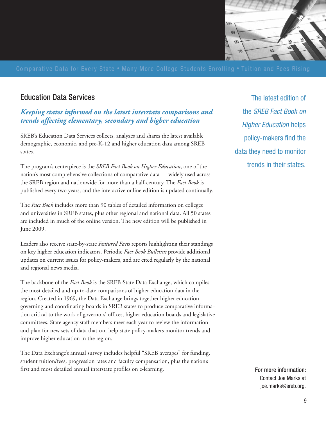

### Education Data Services

### *Keeping states informed on the latest interstate comparisons and trends affecting elementary, secondary and higher education*

SREB's Education Data Services collects, analyzes and shares the latest available demographic, economic, and pre-K-12 and higher education data among SREB states.

The program's centerpiece is the *SREB Fact Book on Higher Education*, one of the nation's most comprehensive collections of comparative data — widely used across the SREB region and nationwide for more than a half-century. The *Fact Book* is published every two years, and the interactive online edition is updated continually.

The *Fact Book* includes more than 90 tables of detailed information on colleges and universities in SREB states, plus other regional and national data. All 50 states are included in much of the online version. The new edition will be published in June 2009.

Leaders also receive state-by-state *Featured Facts* reports highlighting their standings on key higher education indicators. Periodic *Fact Book Bulletins* provide additional updates on current issues for policy-makers, and are cited regularly by the national and regional news media.

The backbone of the *Fact Book* is the SREB-State Data Exchange, which compiles the most detailed and up-to-date comparisons of higher education data in the region. Created in 1969, the Data Exchange brings together higher education governing and coordinating boards in SREB states to produce comparative information critical to the work of governors' offices, higher education boards and legislative committees. State agency staff members meet each year to review the information and plan for new sets of data that can help state policy-makers monitor trends and improve higher education in the region.

The Data Exchange's annual survey includes helpful "SREB averages" for funding, student tuition/fees, progression rates and faculty compensation, plus the nation's first and most detailed annual interstate profiles on e-learning.

The latest edition of the SREB Fact Book on **Higher Education helps** policy-makers find the data they need to monitor trends in their states.

> For more information: Contact Joe Marks at joe.marks@sreb.org.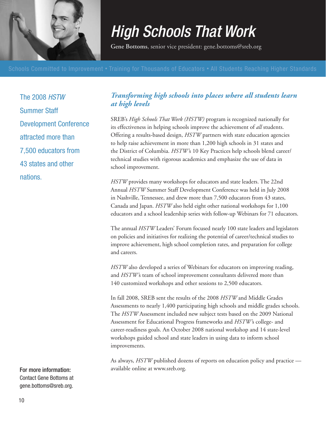

# High Schools That Work

**Gene Bottoms**, senior vice president: gene.bottoms@sreb.org

The 2008 HSTW Summer Staff Development Conference attracted more than 7,500 educators from 43 states and other nations.

### *Transforming high schools into places where all students learn at high levels*

SREB's *High Schools That Work (HSTW)* program is recognized nationally for its effectiveness in helping schools improve the achievement of *all* students. Offering a results-based design, *HSTW* partners with state education agencies to help raise achievement in more than 1,200 high schools in 31 states and the District of Columbia. *HSTW'*s 10 Key Practices help schools blend career/ technical studies with rigorous academics and emphasize the use of data in school improvement.

*HSTW* provides many workshops for educators and state leaders. The 22nd Annual *HSTW* Summer Staff Development Conference was held in July 2008 in Nashville, Tennessee, and drew more than 7,500 educators from 43 states, Canada and Japan. *HSTW* also held eight other national workshops for 1,100 educators and a school leadership series with follow-up Webinars for 71 educators.

The annual *HSTW* Leaders' Forum focused nearly 100 state leaders and legislators on policies and initiatives for realizing the potential of career/technical studies to improve achievement, high school completion rates, and preparation for college and careers.

*HSTW* also developed a series of Webinars for educators on improving reading, and *HSTW'*s team of school improvement consultants delivered more than 140 customized workshops and other sessions to 2,500 educators.

In fall 2008, SREB sent the results of the 2008 *HSTW* and Middle Grades Assessments to nearly 1,400 participating high schools and middle grades schools. The *HSTW* Assessment included new subject tests based on the 2009 National Assessment for Educational Progress frameworks and *HSTW'*s college- and career-readiness goals. An October 2008 national workshop and 14 state-level workshops guided school and state leaders in using data to inform school improvements.

As always, *HSTW* published dozens of reports on education policy and practice available online at www.sreb.org.

For more information:

Contact Gene Bottoms at gene.bottoms@sreb.org.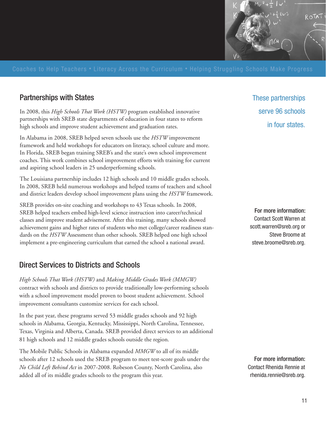

### Partnerships with States

In 2008, this *High Schools That Work (HSTW)* program established innovative partnerships with SREB state departments of education in four states to reform high schools and improve student achievement and graduation rates.

In Alabama in 2008, SREB helped seven schools use the *HSTW* improvement framework and held workshops for educators on literacy, school culture and more. In Florida, SREB began training SREB's and the state's own school improvement coaches. This work combines school improvement efforts with training for current and aspiring school leaders in 25 underperforming schools.

The Louisiana partnership includes 12 high schools and 10 middle grades schools. In 2008, SREB held numerous workshops and helped teams of teachers and school and district leaders develop school improvement plans using the *HSTW* framework.

SREB provides on-site coaching and workshops to 43 Texas schools. In 2008, SREB helped teachers embed high-level science instruction into career/technical classes and improve student advisement. After this training, many schools showed achievement gains and higher rates of students who met college/career readiness standards on the *HSTW* Assessment than other schools. SREB helped one high school implement a pre-engineering curriculum that earned the school a national award.

### Direct Services to Districts and Schools

*High Schools That Work (HSTW)* and *Making Middle Grades Work (MMGW)* contract with schools and districts to provide traditionally low-performing schools with a school improvement model proven to boost student achievement. School improvement consultants customize services for each school.

In the past year, these programs served 53 middle grades schools and 92 high schools in Alabama, Georgia, Kentucky, Mississippi, North Carolina, Tennessee, Texas, Virginia and Alberta, Canada. SREB provided direct services to an additional 81 high schools and 12 middle grades schools outside the region.

The Mobile Public Schools in Alabama expanded *MMGW* to all of its middle schools after 12 schools used the SREB program to meet test-score goals under the *No Child Left Behind Act* in 2007-2008. Robeson County, North Carolina, also added all of its middle grades schools to the program this year.

These partnerships serve 96 schools in four states.

For more information: Contact Scott Warren at scott.warren@sreb.org or Steve Broome at steve.broome@sreb.org.

For more information: Contact Rhenida Rennie at rhenida.rennie@sreb.org.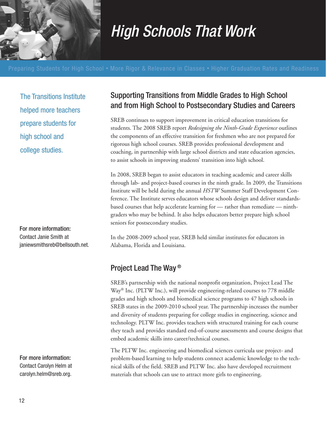

# High Schools That Work

The Transitions Institute helped more teachers prepare students for high school and college studies.

For more information: Contact Janie Smith at janiewsmithsreb@bellsouth.net.

For more information: Contact Carolyn Helm at carolyn.helm@sreb.org.

### Supporting Transitions from Middle Grades to High School and from High School to Postsecondary Studies and Careers

SREB continues to support improvement in critical education transitions for students. The 2008 SREB report *Redesigning the Ninth-Grade Experience* outlines the components of an effective transition for freshmen who are not prepared for rigorous high school courses. SREB provides professional development and coaching, in partnership with large school districts and state education agencies, to assist schools in improving students' transition into high school.

In 2008, SREB began to assist educators in teaching academic and career skills through lab- and project-based courses in the ninth grade. In 2009, the Transitions Institute will be held during the annual *HSTW* Summer Staff Development Conference. The Institute serves educators whose schools design and deliver standardsbased courses that help accelerate learning for — rather than remediate — ninthgraders who may be behind. It also helps educators better prepare high school seniors for postsecondary studies.

In the 2008-2009 school year, SREB held similar institutes for educators in Alabama, Florida and Louisiana.

### Project Lead The Way ®

SREB's partnership with the national nonprofit organization, Project Lead The Way® Inc. (PLTW Inc.), will provide engineering-related courses to 778 middle grades and high schools and biomedical science programs to 47 high schools in SREB states in the 2009-2010 school year. The partnership increases the number and diversity of students preparing for college studies in engineering, science and technology. PLTW Inc. provides teachers with structured training for each course they teach and provides standard end-of-course assessments and course designs that embed academic skills into career/technical courses.

The PLTW Inc. engineering and biomedical sciences curricula use project- and problem-based learning to help students connect academic knowledge to the technical skills of the field. SREB and PLTW Inc. also have developed recruitment materials that schools can use to attract more girls to engineering.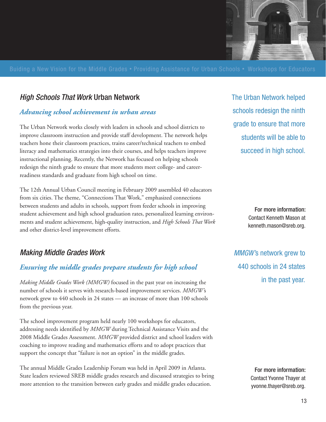

### High Schools That Work Urban Network

### *Advancing school achievement in urban areas*

The Urban Network works closely with leaders in schools and school districts to improve classroom instruction and provide staff development. The network helps teachers hone their classroom practices, trains career/technical teachers to embed literacy and mathematics strategies into their courses, and helps teachers improve instructional planning. Recently, the Network has focused on helping schools redesign the ninth grade to ensure that more students meet college- and careerreadiness standards and graduate from high school on time.

The 12th Annual Urban Council meeting in February 2009 assembled 40 educators from six cities. The theme, "Connections That Work," emphasized connections between students and adults in schools, support from feeder schools in improving student achievement and high school graduation rates, personalized learning environments and student achievement, high-quality instruction, and *High Schools That Work* and other district-level improvement efforts.

### Making Middle Grades Work

### *Ensuring the middle grades prepare students for high school*

*Making Middle Grades Work (MMGW)* focused in the past year on increasing the number of schools it serves with research-based improvement services. *MMGW'*s network grew to 440 schools in 24 states — an increase of more than 100 schools from the previous year.

The school improvement program held nearly 100 workshops for educators, addressing needs identified by *MMGW* during Technical Assistance Visits and the 2008 Middle Grades Assessment. *MMGW* provided district and school leaders with coaching to improve reading and mathematics efforts and to adopt practices that support the concept that "failure is not an option" in the middle grades.

The annual Middle Grades Leadership Forum was held in April 2009 in Atlanta. State leaders reviewed SREB middle grades research and discussed strategies to bring more attention to the transition between early grades and middle grades education.

The Urban Network helped schools redesign the ninth grade to ensure that more students will be able to succeed in high school.

> For more information: Contact Kenneth Mason at kenneth.mason@sreb.org.

MMGW's network grew to 440 schools in 24 states in the past year.

> For more information: Contact Yvonne Thayer at yvonne.thayer@sreb.org.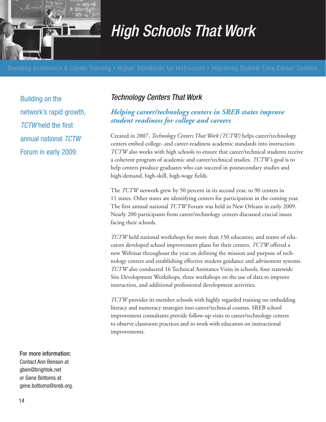

# High Schools That Work

Building on the network's rapid growth, **TCTW** held the first annual national TCTW Forum in early 2009.

### Technology Centers That Work

### *Helping career/technology centers in SREB states improve student readiness for college and careers*

Created in 2007, *Technology Centers That Work (TCTW)* helps career/technology centers embed college- and career-readiness academic standards into instruction. *TCTW* also works with high schools to ensure that career/technical students receive a coherent program of academic and career/technical studies. *TCTW'*s goal is to help centers produce graduates who can succeed in postsecondary studies and high-demand, high-skill, high-wage fields.

The *TCTW* network grew by 50 percent in its second year, to 90 centers in 11 states. Other states are identifying centers for participation in the coming year. The first annual national *TCTW* Forum was held in New Orleans in early 2009. Nearly 200 participants from career/technology centers discussed crucial issues facing their schools.

*TCTW* held national workshops for more than 150 educators, and teams of educators developed school improvement plans for their centers. *TCTW* offered a new Webinar throughout the year on defining the mission and purpose of technology centers and establishing effective student guidance and advisement systems. *TCTW* also conducted 16 Technical Assistance Visits in schools, four statewide Site Development Workshops, three workshops on the use of data to improve instruction, and additional professional development activities.

*TCTW* provides its member schools with highly regarded training on embedding literacy and numeracy strategies into career/technical courses. SREB school improvement consultants provide follow-up visits to career/technology centers to observe classroom practices and to work with educators on instructional improvements.

### For more information: Contact Ann Benson at gben@brightok.net or Gene Bottoms at gene.bottoms@sreb.org.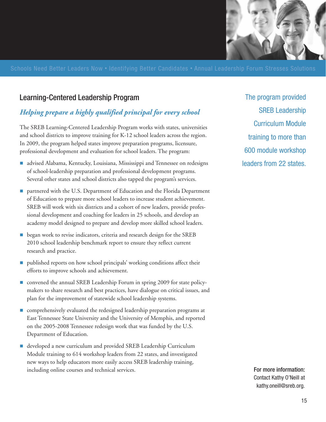

### Learning-Centered Leadership Program

### *Helping prepare a highly qualified principal for every school*

The SREB Learning-Centered Leadership Program works with states, universities and school districts to improve training for K-12 school leaders across the region. In 2009, the program helped states improve preparation programs, licensure, professional development and evaluation for school leaders. The program:

- advised Alabama, Kentucky, Louisiana, Mississippi and Tennessee on redesigns of school-leadership preparation and professional development programs. Several other states and school districts also tapped the program's services.
- **The partnered with the U.S. Department of Education and the Florida Department** of Education to prepare more school leaders to increase student achievement. SREB will work with six districts and a cohort of new leaders, provide professional development and coaching for leaders in 25 schools, and develop an academy model designed to prepare and develop more skilled school leaders.
- **Example 3 resp.** began work to revise indicators, criteria and research design for the SREB 2010 school leadership benchmark report to ensure they reflect current research and practice.
- published reports on how school principals' working conditions affect their efforts to improve schools and achievement.
- **n** convened the annual SREB Leadership Forum in spring 2009 for state policymakers to share research and best practices, have dialogue on critical issues, and plan for the improvement of statewide school leadership systems.
- **n** comprehensively evaluated the redesigned leadership preparation programs at East Tennessee State University and the University of Memphis, and reported on the 2005-2008 Tennessee redesign work that was funded by the U.S. Department of Education.
- developed a new curriculum and provided SREB Leadership Curriculum Module training to 614 workshop leaders from 22 states, and investigated new ways to help educators more easily access SREB leadership training, including online courses and technical services. **For more information:**

The program provided SREB Leadership Curriculum Module training to more than 600 module workshop leaders from 22 states.

> Contact Kathy O'Neill at kathy.oneill@sreb.org.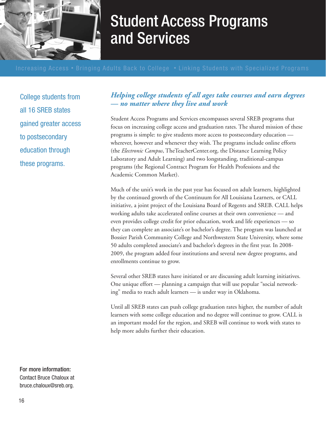

### Student Access Programs and Services

College students from all 16 SREB states gained greater access to postsecondary education through these programs.

### *Helping college students of all ages take courses and earn degrees — no matter where they live and work*

Student Access Programs and Services encompasses several SREB programs that focus on increasing college access and graduation rates. The shared mission of these programs is simple: to give students more access to postsecondary education wherever, however and whenever they wish. The programs include online efforts (the *Electronic Campus*, TheTeacherCenter.org, the Distance Learning Policy Laboratory and Adult Learning) and two longstanding, traditional-campus programs (the Regional Contract Program for Health Professions and the Academic Common Market).

Much of the unit's work in the past year has focused on adult learners, highlighted by the continued growth of the Continuum for All Louisiana Learners, or CALL initiative, a joint project of the Louisiana Board of Regents and SREB. CALL helps working adults take accelerated online courses at their own convenience — and even provides college credit for prior education, work and life experiences — so they can complete an associate's or bachelor's degree. The program was launched at Bossier Parish Community College and Northwestern State University, where some 50 adults completed associate's and bachelor's degrees in the first year. In 2008- 2009, the program added four institutions and several new degree programs, and enrollments continue to grow.

Several other SREB states have initiated or are discussing adult learning initiatives. One unique effort — planning a campaign that will use popular "social networking" media to reach adult learners — is under way in Oklahoma.

Until all SREB states can push college graduation rates higher, the number of adult learners with some college education and no degree will continue to grow. CALL is an important model for the region, and SREB will continue to work with states to help more adults further their education.

For more information: Contact Bruce Chaloux at bruce.chaloux@sreb.org.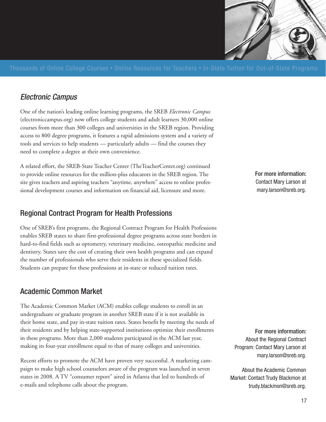

### Electronic Campus

One of the nation's leading online learning programs, the SREB *Electronic Campus* (electroniccampus.org) now offers college students and adult learners 30,000 online courses from more than 300 colleges and universities in the SREB region. Providing access to 800 degree programs, it features a rapid admissions system and a variety of tools and services to help students — particularly adults — find the courses they need to complete a degree at their own convenience.

A related effort, the SREB-State Teacher Center (TheTeacherCenter.org) continued to provide online resources for the million-plus educators in the SREB region. The site gives teachers and aspiring teachers "anytime, anywhere" access to online professional development courses and information on financial aid, licensure and more.

### Regional Contract Program for Health Professions

One of SREB's first programs, the Regional Contract Program for Health Professions enables SREB states to share first-professional degree programs across state borders in hard-to-find fields such as optometry, veterinary medicine, osteopathic medicine and dentistry. States save the cost of creating their own health programs and can expand the number of professionals who serve their residents in these specialized fields. Students can prepare for these professions at in-state or reduced tuition rates.

### Academic Common Market

The Academic Common Market (ACM) enables college students to enroll in an undergraduate or graduate program in another SREB state if it is not available in their home state, and pay in-state tuition rates. States benefit by meeting the needs of their residents and by helping state-supported institutions optimize their enrollments in these programs. More than 2,000 students participated in the ACM last year, making its four-year enrollment equal to that of many colleges and universities.

Recent efforts to promote the ACM have proven very successful. A marketing campaign to make high school counselors aware of the program was launched in seven states in 2008. A TV "consumer report" aired in Atlanta that led to hundreds of e-mails and telephone calls about the program.

For more information: Contact Mary Larson at mary.larson@sreb.org.

For more information: About the Regional Contract Program: Contact Mary Larson at mary.larson@sreb.org.

About the Academic Common Market: Contact Trudy Blackmon at trudy.blackmon@sreb.org.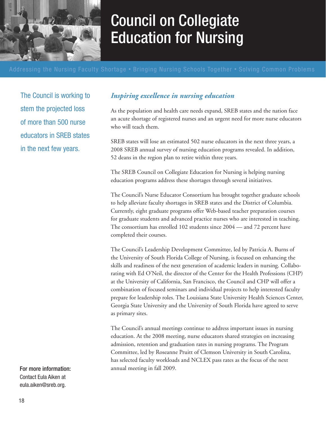

## Council on Collegiate Education for Nursing

The Council is working to stem the projected loss of more than 500 nurse educators in SREB states in the next few years.

### *Inspiring excellence in nursing education*

As the population and health care needs expand, SREB states and the nation face an acute shortage of registered nurses and an urgent need for more nurse educators who will teach them.

SREB states will lose an estimated 502 nurse educators in the next three years, a 2008 SREB annual survey of nursing education programs revealed. In addition, 52 deans in the region plan to retire within three years.

The SREB Council on Collegiate Education for Nursing is helping nursing education programs address these shortages through several initiatives.

The Council's Nurse Educator Consortium has brought together graduate schools to help alleviate faculty shortages in SREB states and the District of Columbia. Currently, eight graduate programs offer Web-based teacher preparation courses for graduate students and advanced practice nurses who are interested in teaching. The consortium has enrolled 102 students since 2004 — and 72 percent have completed their courses.

The Council's Leadership Development Committee, led by Patricia A. Burns of the University of South Florida College of Nursing, is focused on enhancing the skills and readiness of the next generation of academic leaders in nursing. Collaborating with Ed O'Neil, the director of the Center for the Health Professions (CHP) at the University of California, San Francisco, the Council and CHP will offer a combination of focused seminars and individual projects to help interested faculty prepare for leadership roles. The Louisiana State University Health Sciences Center, Georgia State University and the University of South Florida have agreed to serve as primary sites.

The Council's annual meetings continue to address important issues in nursing education. At the 2008 meeting, nurse educators shared strategies on increasing admission, retention and graduation rates in nursing programs. The Program Committee, led by Roseanne Pruitt of Clemson University in South Carolina, has selected faculty workloads and NCLEX pass rates as the focus of the next annual meeting in fall 2009.

For more information: Contact Eula Aiken at eula.aiken@sreb.org.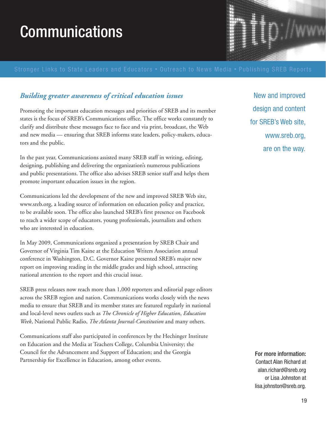# Communications

### *Building greater awareness of critical education issues*

Promoting the important education messages and priorities of SREB and its member states is the focus of SREB's Communications office. The office works constantly to clarify and distribute these messages face to face and via print, broadcast, the Web and new media — ensuring that SREB informs state leaders, policy-makers, educators and the public.

In the past year, Communications assisted many SREB staff in writing, editing, designing, publishing and delivering the organization's numerous publications and public presentations. The office also advises SREB senior staff and helps them promote important education issues in the region.

Communications led the development of the new and improved SREB Web site, www.sreb.org, a leading source of information on education policy and practice, to be available soon. The office also launched SREB's first presence on Facebook to reach a wider scope of educators, young professionals, journalists and others who are interested in education.

In May 2009, Communications organized a presentation by SREB Chair and Governor of Virginia Tim Kaine at the Education Writers Association annual conference in Washington, D.C. Governor Kaine presented SREB's major new report on improving reading in the middle grades and high school, attracting national attention to the report and this crucial issue.

SREB press releases now reach more than 1,000 reporters and editorial page editors across the SREB region and nation. Communications works closely with the news media to ensure that SREB and its member states are featured regularly in national and local-level news outlets such as *The Chronicle of Higher Education*, *Education Week*, National Public Radio, *The Atlanta Journal-Constitution* and many others.

Communications staff also participated in conferences by the Hechinger Institute on Education and the Media at Teachers College, Columbia University; the Council for the Advancement and Support of Education; and the Georgia Partnership for Excellence in Education, among other events.

New and improved design and content for SREB's Web site, www.sreb.org, are on the way.

For more information: Contact Alan Richard at alan.richard@sreb.org or Lisa Johnston at lisa.johnston@sreb.org.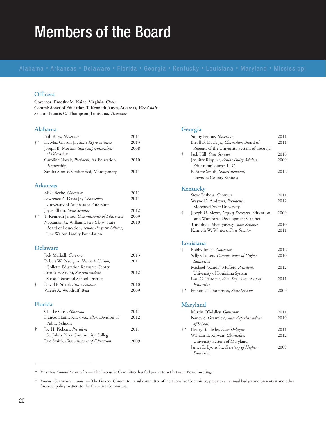### Members of the Board

#### **Officers**

**Governor Timothy M. Kaine, Virginia,** *Chair* **Commissioner of Education T. Kenneth James, Arkansas,** *Vice Chair* **Senator Francis C. Thompson, Louisiana,** *Treasurer*

#### **Alabama**

|             | <b>Bob Riley</b> , <i>Governor</i>                     | 2011 |
|-------------|--------------------------------------------------------|------|
| $\dagger$ * | H. Mac Gipson Jr., State Representative                | 2013 |
|             | Joseph B. Morton, State Superintendent<br>of Education | 2008 |
|             | Caroline Novak, President, A+ Education<br>Partnership | 2010 |
|             | Sandra Sims-deGraffenried, Montgomery                  | 2011 |
|             | Arkansas                                               |      |
|             | Mike Beebe, Governor                                   | 2011 |
|             | Lawrence A. Davis Jr., Chancellor,                     | 2011 |
|             | University of Arkansas at Pine Bluff                   |      |
|             | Joyce Elliott, State Senator                           | 2012 |
| $\dagger$ * | T. Kenneth James, Commissioner of Education            | 2009 |
|             | Naccaman G. Williams, Vice Chair, State                | 2010 |
|             | Board of Education; Senior Program Officer,            |      |
|             | The Walton Family Foundation                           |      |
|             | <b>Delaware</b>                                        |      |
|             | Jack Markell, Governor                                 | 2013 |
|             | Robert W. Rescigno, Network Liaison,                   | 2011 |
|             | <b>Collette Education Resource Center</b>              |      |
|             | Patrick E. Savini, Superintendent,                     | 2012 |
|             | Sussex Technical School District                       |      |
| $\dagger$   | David P. Sokola, State Senator                         | 2010 |
|             | Valerie A. Woodruff, Bear                              | 2009 |
|             | Florida                                                |      |
|             | Charlie Crist, Governor                                | 2011 |
|             | Frances Haithcock, Chancellor, Division of             | 2012 |
|             | Public Schools                                         |      |
| Ť           | Joe H. Pickens, President                              | 2011 |
|             | St. Johns River Community College                      |      |
|             | Eric Smith, Commissioner of Education                  | 2009 |

#### **Georgia**

|             | Sonny Perdue, Governor                                 | 2011 |
|-------------|--------------------------------------------------------|------|
|             | Erroll B. Davis Jr., Chancellor, Board of              | 2011 |
|             | Regents of the University System of Georgia            |      |
| ŧ           | Jack Hill, State Senator                               | 2010 |
|             | Jennifer Rippner, Senior Policy Advisor,               | 2009 |
|             | EducationCounsel LLC                                   |      |
|             | E. Steve Smith, Superintendent,                        | 2012 |
|             | Lowndes County Schools                                 |      |
|             | Kentucky                                               |      |
|             | Steve Beshear, Governor                                | 2011 |
|             | Wayne D. Andrews, President,                           | 2012 |
|             | Morehead State University                              |      |
| Ť.          | Joseph U. Meyer, Deputy Secretary, Education           | 2009 |
|             | and Workforce Development Cabinet                      |      |
|             | Timothy T. Shaughnessy, State Senator                  | 2010 |
|             | Kenneth W. Winters, State Senator                      | 2011 |
|             | Louisiana                                              |      |
| $\dagger$   | Bobby Jindal, Governor                                 | 2012 |
|             | Sally Clausen, Commissioner of Higher                  | 2010 |
|             | Education                                              |      |
|             | Michael "Randy" Moffett, President,                    | 2012 |
|             | University of Louisiana System                         |      |
|             | Paul G. Pastorek, State Superintendent of<br>Education | 2011 |
| $\dagger$ * | Francis C. Thompson, State Senator                     | 2009 |
|             | <b>Maryland</b>                                        |      |
|             |                                                        |      |
|             | Martin O'Malley, Governor                              | 2011 |
|             | Nancy S. Grasmick, State Superintendent<br>of Schools  | 2010 |
| $\dagger$ * | Henry B. Heller, State Delegate                        | 2011 |
|             | William E. Kirwan, Chancellor,                         | 2012 |
|             | University System of Maryland                          |      |
|             | James E. Lyons Sr., Secretary of Higher                | 2009 |

† *Executive Committee member* — The Executive Committee has full power to act between Board meetings.

*Education*

<sup>\*</sup> *Finance Committee member* — The Finance Committee, a subcommittee of the Executive Committee, prepares an annual budget and presents it and other financial policy matters to the Executive Committee.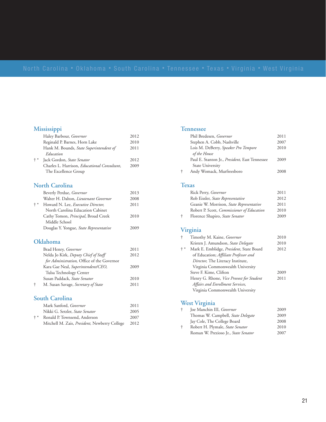#### **Mississippi**

|                                 | Haley Barbour, <i>Governor</i>                       | 2012 |
|---------------------------------|------------------------------------------------------|------|
|                                 | Reginald P. Barnes, Horn Lake                        | 2010 |
|                                 | Hank M. Bounds, State Superintendent of              | 2011 |
|                                 | Education                                            |      |
| $^{\mathrm{+}}$ $^{\mathrm{*}}$ | Jack Gordon, State Senator                           | 2012 |
|                                 | Charles L. Harrison, <i>Educational Consultant</i> , | 2009 |
|                                 | The Excellence Group                                 |      |
|                                 |                                                      |      |
|                                 | North Carolina                                       |      |
|                                 | Beverly Perdue, Governor                             | 2013 |
|                                 | Walter H. Dalton, <i>Lieutenant Governor</i>         | 2008 |
| $+ *$                           | Howard N. Lee, <i>Executive Director</i> ,           | 2011 |
|                                 | North Carolina Education Cabinet                     |      |
|                                 | Cathy Tomon, <i>Principal</i> , Broad Creek          | 2010 |
|                                 | Middle School                                        |      |
|                                 | Douglas Y. Yongue, <i>State Representative</i>       | 2009 |
|                                 |                                                      |      |
|                                 |                                                      |      |

#### **Oklahoma**

|   | Brad Henry, Governor                       | 2011 |
|---|--------------------------------------------|------|
|   | Nelda Jo Kirk, Deputy Chief of Staff       | 2012 |
|   | for Administration, Office of the Governor |      |
|   | Kara Gae Neal, Superintendent/CEO,         | 2009 |
|   | Tulsa Technology Center                    |      |
|   | Susan Paddack, State Senator               | 2010 |
| ÷ | M. Susan Savage, Secretary of State        | 2011 |
|   |                                            |      |

### **South Carolina**

|     | Mark Sanford, Governor                        | 2011 |
|-----|-----------------------------------------------|------|
|     | Nikki G. Setzler, State Senator               | 2005 |
| + * | Ronald P. Townsend, Anderson                  | 2007 |
|     | Mitchell M. Zais, President, Newberry College | 2012 |
|     |                                               |      |

#### **Tennessee**

|   | Phil Bredesen, Governor                        | 2011 |
|---|------------------------------------------------|------|
|   | Stephen A. Cobb, Nashville                     | 2007 |
|   | Lois M. DeBerry, Speaker Pro Tempore           | 2010 |
|   | of the House                                   |      |
|   | Paul E. Stanton Jr., President, East Tennessee | 2009 |
|   | State University                               |      |
| ÷ | Andy Womack, Murfreesboro                      | 2008 |

#### **Texas**

|   | Rick Perry, Governor                       | 2011 |
|---|--------------------------------------------|------|
|   | Rob Eissler, State Representative          | 2012 |
|   | Geanie W. Morrison, State Representative   | 2011 |
|   | Robert P. Scott, Commissioner of Education | 2010 |
| ÷ | Florence Shapiro, State Senator            | 2009 |

### **Virginia**

| ÷     | Timothy M. Kaine, <i>Governor</i>               | 2010 |
|-------|-------------------------------------------------|------|
|       | Kristen J. Amundson, State Delegate             | 2010 |
| $+ *$ | Mark E. Emblidge, President, State Board        | 2012 |
|       | of Education; Affiliate Professor and           |      |
|       | Director, The Literacy Institute,               |      |
|       | Virginia Commonwealth University                |      |
|       | Steve F. Kime, Clifton                          | 2009 |
|       | Henry G. Rhone, <i>Vice Provost for Student</i> | 2011 |
|       | Affairs and Enrollment Services,                |      |
|       | Virginia Commonwealth University                |      |
|       |                                                 |      |

### **West Virginia**

| ÷ | Joe Manchin III, Governor            | 2009 |
|---|--------------------------------------|------|
|   | Thomas W. Campbell, State Delegate   | 2009 |
|   | Jay Cole, The College Board          | 2008 |
| ÷ | Robert H. Plymale, State Senator     | 2010 |
|   | Roman W. Prezioso Jr., State Senator | 2007 |
|   |                                      |      |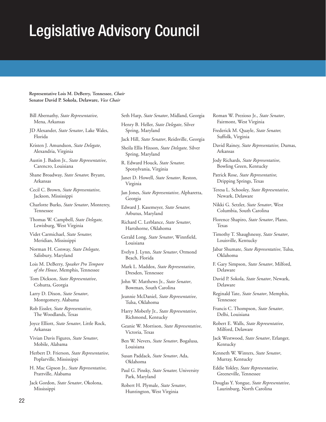### Legislative Advisory Council

#### **Representative Lois M. DeBerry, Tennessee,** *Chair* **Senator David P. Sokola, Delaware,** *Vice Chair*

- Bill Abernathy, *State Representative,* Mena, Arkansas
- JD Alexander, *State Senator*, Lake Wales, Florida
- Kristen J. Amundson, *State Delegate*, Alexandria, Virginia
- Austin J. Badon Jr., *State Representative*, Carencro, Louisiana
- Shane Broadway, *State Senator,* Bryant, Arkansas
- Cecil C. Brown, *State Representative*, Jackson, Mississippi
- Charlotte Burks, *State Senator*, Monterey, Tennessee
- Thomas W. Campbell, *State Delegate,* Lewisburg, West Virginia
- Videt Carmichael, *State Senator,* Meridian, Mississippi
- Norman H. Conway, *State Delegate,* Salisbury, Maryland
- Lois M. DeBerry, *Speaker Pro Tempore of the House*, Memphis, Tennessee
- Tom Dickson, *State Representative*, Cohutta, Georgia
- Larry D. Dixon, *State Senator*, Montgomery, Alabama
- Rob Eissler, *State Representative*, The Woodlands, Texas
- Joyce Elliott, *State Senator*, Little Rock, Arkansas
- Vivian Davis Figures, *State Senator*, Mobile, Alabama
- Herbert D. Frierson, *State Representative*, Poplarville, Mississippi
- H. Mac Gipson Jr., *State Representative*, Prattville, Alabama
- Jack Gordon, *State Senator*, Okolona, Mississippi
- Seth Harp, *State Senator*, Midland, Georgia Henry B. Heller, *State Delegate*, Silver Spring, Maryland Jack Hill, *State Senator*, Reidsville, Georgia
- Sheila Ellis Hixson, *State Delegate,* Silver Spring, Maryland
- R. Edward Houck, *State Senator,* Spotsylvania, Virginia
- Janet D. Howell, *State Senator*, Reston, Virginia
- Jan Jones, *State Representative*, Alpharetta, Georgia
- Edward J. Kasemeyer, *State Senator,* Arbutus, Maryland
- Richard C. Lerblance, *State Senator*, Hartshorne, Oklahoma
- Gerald Long, *State Senator*, Winnfield, Louisiana
- Evelyn J. Lynn, *State Senator*, Ormond Beach, Florida
- Mark L. Maddox, *State Representative*, Dresden, Tennessee
- John W. Matthews Jr., *State Senator*, Bowman, South Carolina
- Jeannie McDaniel, *State Representative*, Tulsa, Oklahoma
- Harry Moberly Jr., *State Representative*, Richmond, Kentucky
- Geanie W. Morrison, *State Representative*, Victoria, Texas
- Ben W. Nevers, *State Senator*, Bogalusa, Louisiana
- Susan Paddack, *State Senator*, Ada, Oklahoma
- Paul G. Pinsky, *State Senator,* University Park, Maryland
- Robert H. Plymale, *State Senator*, Huntington, West Virginia
- Roman W. Prezioso Jr., *State Senator*, Fairmont, West Virginia
- Frederick M. Quayle, *State Senator,* Suffolk, Virginia
- David Rainey, *State Representative,* Dumas, Arkansas
- Jody Richards, *State Representative*, Bowling Green, Kentucky
- Patrick Rose, *State Representative,* Dripping Springs, Texas
- Teresa L. Schooley, *State Representative*, Newark, Delaware
- Nikki G. Setzler, *State Senator*, West Columbia, South Carolina
- Florence Shapiro, *State Senator*, Plano, Texas
- Timothy T. Shaughnessy, *State Senator*, Louisville, Kentucky
- Jabar Shumate, *State Representative*, Tulsa, Oklahoma
- F. Gary Simpson, *State Senator*, Milford, Delaware
- David P. Sokola, *State Senator*, Newark, Delaware
- Reginald Tate, *State Senator*, Memphis, Tennessee
- Francis C. Thompson, *State Senator*, Delhi, Louisiana
- Robert E. Walls, *State Representative*, Milford, Delaware
- Jack Westwood, *State Senator*, Erlanger, Kentucky
- Kenneth W. Winters, *State Senator*, Murray, Kentucky
- Eddie Yokley, *State Representative*, Greeneville, Tennessee
- Douglas Y. Yongue, *State Representative*, Laurinburg, North Carolina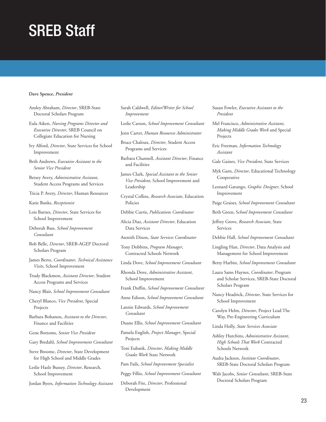### SREB Staff

#### **Dave Spence,** *President*

Ansley Abraham, *Director*, SREB-State Doctoral Scholars Program

Eula Aiken, *Nursing Programs Director and Executive Director*, SREB Council on Collegiate Education for Nursing

Ivy Alford, *Director*, State Services for School Improvement

Beth Andrews, *Executive Assistant to the Senior Vice President* 

Betsey Avery, *Administrative Assistant*, Student Access Programs and Services

Tricia P. Avery, *Director*, Human Resources

Katie Banks, *Receptionist*

Lois Barnes, *Director*, State Services for School Improvement

Deborah Bass, *School Improvement Consultant*

Bob Belle, *Director*, SREB-AGEP Doctoral Scholars Program

James Berto, *Coordinator*, *Technical Assistance Visits*, School Improvement

Trudy Blackmon, *Assistant Director*, Student Access Programs and Services

Nancy Blair, *School Improvement Consultant* 

Cheryl Blanco, *Vice President*, Special Projects

Barbara Bohanon, *Assistant to the Director*, Finance and Facilities

Gene Bottoms, *Senior Vice President*

Gary Bredahl, *School Improvement Consultant* 

Steve Broome, *Director*, State Development for High School and Middle Grades

Leslie Hazle Bussey, *Director*, Research, School Improvement

Jordan Byers, *Information Technology Assistant* 

Sarah Caldwell, *Editor/Writer for School Improvement* 

Leslie Carson, *School Improvement Consultant* 

Jenn Carter, *Human Resources Administrator* 

Bruce Chaloux, *Director*, Student Access Programs and Services

Barbara Channell, *Assistant Director*, Finance and Facilities

James Clark, *Special Assistant to the Senior Vice President*, School Improvement and Leadership

Crystal Collins, *Research Associate*, Education Policies

Debbie Curtis, *Publications Coordinator*

Alicia Diaz, *Assistant Director*, Education Data Services

Asenith Dixon, *State Services Coordinator*

Tony Dobbins, *Program Manager*, Contracted Schools Network

Linda Dove, *School Improvement Consultant* 

Rhonda Dove, *Administrative Assistant*, School Improvement

Frank Duffin, *School Improvement Consultant*

Anne Edison, *School Improvement Consultant* 

Lannie Edwards, *School Improvement Consultant* 

Duane Ellis, *School Improvement Consultant*

Pamela English, *Project Manager*, Special Projects

Toni Eubank, *Director*, *Making Middle Grades Work* State Network

Pam Fails, *School Improvement Specialist*

Peggy Fillio, *School Improvement Consultant*

Deborah Fite, *Director*, Professional Development

Susan Fowler, *Executive Assistant to the President* 

Mel Francisco, *Administrative Assistant*, *Making Middle Grades Work* and Special Projects

Eric Freeman, *Information Technology Assistant*

Gale Gaines, *Vice President*, State Services

Myk Garn, *Director*, Educational Technology Cooperative

Leonard Gatungo, *Graphic Designer*, School Improvement

Paige Graiser, *School Improvement Consultant* 

Beth Green, S*chool Improvement Consultant* 

Jeffrey Grove, *Research Associate*, State Services

Debbie Hall, *School Improvement Consultant* 

Lingling Han, *Director*, Data Analysis and Management for School Improvement

Betty Harbin, *School Improvement Consultant* 

Laura Sams Haynes, *Coordinator*, Program and Scholar Services, SREB-State Doctoral Scholars Program

Nancy Headrick, *Director*, State Services for School Improvement

Carolyn Helm, *Director*, Project Lead The Way, Pre-Engineering Curriculum

Linda Holly, *State Services Associate*

Ashley Hutchins, *Administrative Assistant*, *High Schools That Work* Contracted Schools Network

Audra Jackson, *Institute Coordinator*, SREB-State Doctoral Scholars Program

Walt Jacobs, *Senior Consultant*, SREB-State Doctoral Scholars Program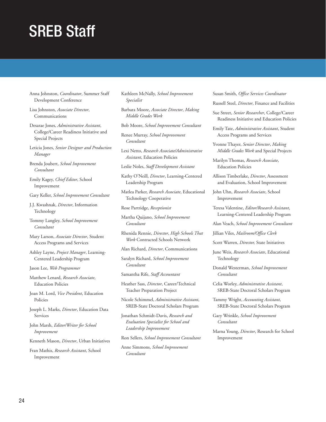### SREB Staff

- Anna Johnston, *Coordinator*, Summer Staff Development Conference
- Lisa Johnston, *Associate Director*, Communications
- Desarae Jones, *Administrative Assistant*, College/Career Readiness Initiative and Special Projects
- Leticia Jones, *Senior Designer and Production Manager*
- Brenda Joubert, *School Improvement Consultant*
- Emily Kagey, *Chief Editor*, School Improvement
- Gary Keller, *School Improvement Consultant*
- J.J. Kwashnak, *Director*, Information **Technology**
- Tommy Langley, *School Improvement Consultant*
- Mary Larson, *Associate Director*, Student Access Programs and Services
- Ashley Layne, *Project Manager*, Learning-Centered Leadership Program

Jason Lee, *Web Programmer*

- Matthew Lenard, *Research Associate*, Education Policies
- Joan M. Lord, *Vice President*, Education Policies
- Joseph L. Marks, *Director*, Education Data Services
- John Marsh, *Editor/Writer for School Improvement*
- Kenneth Mason, *Director*, Urban Initiatives

Fran Mathis, *Research Assistant*, School Improvement

- Kathleen McNally, *School Improvement Specialist*
- Barbara Moore, *Associate Director*, *Making Middle Grades Work*
- Bob Moore, *School Improvement Consultant*
- Renee Murray, *School Improvement Consultant*
- Lexi Netto, *Research Associate/Administrative Assistant*, Education Policies
- Leslie Noles, *Staff Development Assistant*
- Kathy O'Neill, *Director*, Learning-Centered Leadership Program
- Matlea Parker, *Research Associate*, Educational Technology Cooperative
- Rose Partridge, *Receptionist*
- Martha Quijano, *School Improvement Consultant*
- Rhenida Rennie, *Director*, *High Schools That Work* Contracted Schools Network
- Alan Richard, *Director*, Communications
- Saralyn Richard, *School Improvement Consultant*
- Samantha Rife, *Staff Accountant*
- Heather Sass, *Director*, Career/Technical Teacher Preparation Project
- Nicole Schimmel, *Administrative Assistant*, SREB-State Doctoral Scholars Program
- Jonathan Schmidt-Davis, *Research and Evaluation Specialist for School and Leadership Improvement*
- Ron Sellers, *School Improvement Consultant*
- Anne Simmons, *School Improvement Consultant*

Susan Smith, *Office Services Coordinator*

- Russell Steel, *Director*, Finance and Facilities
- Sue Street, *Senior Researcher*, College/Career Readiness Initiative and Education Policies
- Emily Tate, *Administrative Assistant*, Student Access Programs and Services
- Yvonne Thayer, *Senior Director*, *Making Middle Grades Work* and Special Projects
- Marilyn Thomas, *Research Associate*, Education Policies
- Allison Timberlake, *Director*, Assessment and Evaluation, School Improvement
- John Uhn, *Research Associate*, School Improvement
- Teresa Valentine, *Editor/Research Assistant*, Learning-Centered Leadership Program
- Alan Veach, *School Improvement Consultant*
- Jillian Viles, *Mailroom/Office Clerk*
- Scott Warren, *Director,* State Initiatives
- June Weis, *Research Associate*, Educational Technology
- Donald Westerman, *School Improvement Consultant*
- Celia Worley, *Administrative Assistant*, SREB-State Doctoral Scholars Program
- Tammy Wright, *Accounting Assistant*, SREB-State Doctoral Scholars Program
- Gary Wrinkle, *School Improvement Consultant*
- Marna Young, *Director*, Research for School Improvement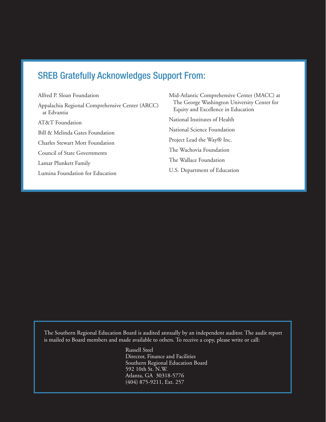### SREB Gratefully Acknowledges Support From:

Alfred P. Sloan Foundation Appalachia Regional Comprehensive Center (ARCC) at Edvantia AT&T Foundation Bill & Melinda Gates Foundation Charles Stewart Mott Foundation Council of State Governments Lamar Plunkett Family Lumina Foundation for Education

Mid-Atlantic Comprehensive Center (MACC) at The George Washington University Center for Equity and Excellence in Education National Institutes of Health National Science Foundation Project Lead the Way® Inc. The Wachovia Foundation The Wallace Foundation U.S. Department of Education

The Southern Regional Education Board is audited annually by an independent auditor. The audit report is mailed to Board members and made available to others. To receive a copy, please write or call:

> Russell Steel Director, Finance and Facilities Southern Regional Education Board 592 10th St. N.W. Atlanta, GA 30318-5776 (404) 875-9211, Ext. 257